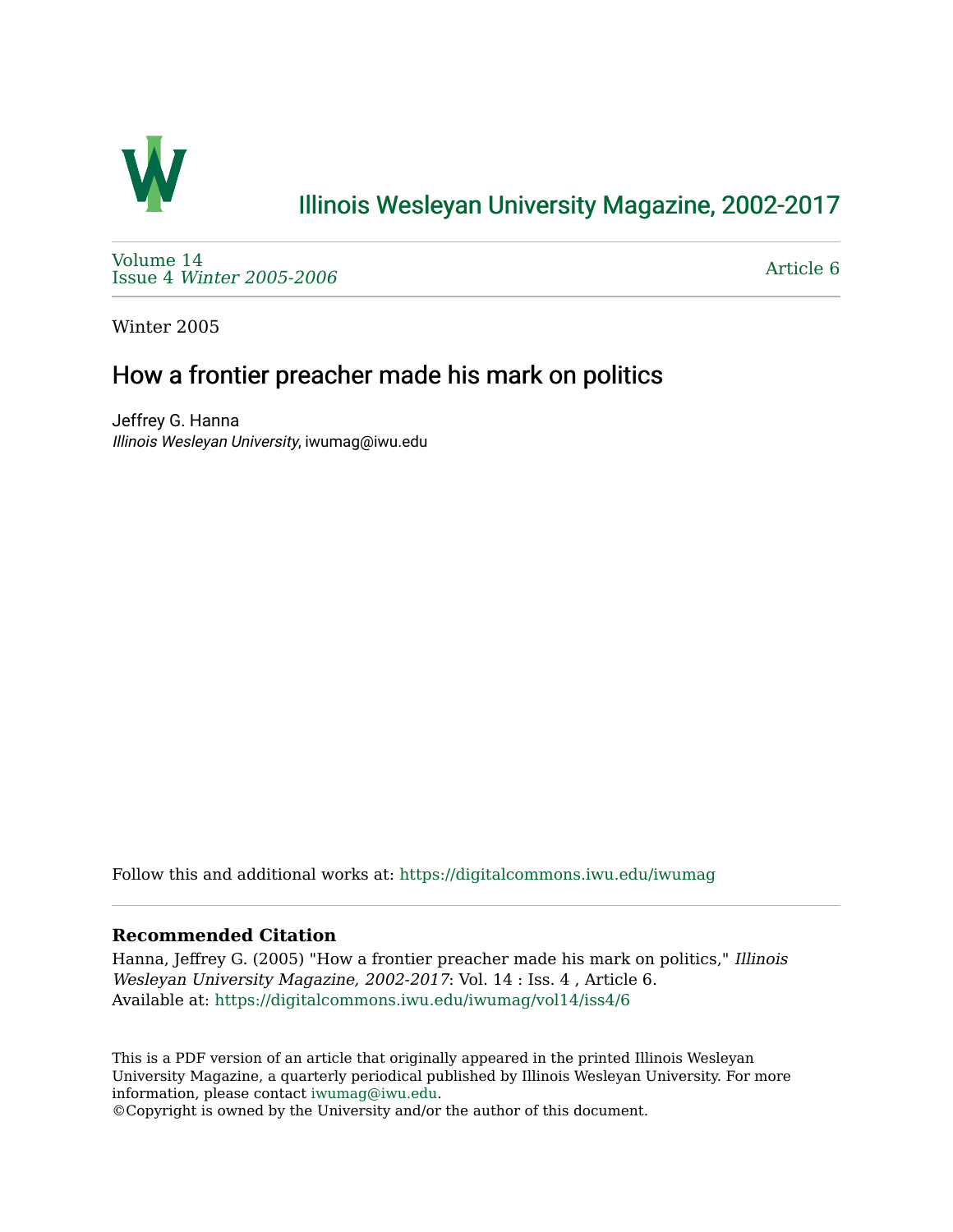

# [Illinois Wesleyan University Magazine, 2002-2017](https://digitalcommons.iwu.edu/iwumag)

[Volume 14](https://digitalcommons.iwu.edu/iwumag/vol14)  Issue 4 [Winter 2005-2006](https://digitalcommons.iwu.edu/iwumag/vol14/iss4)

[Article 6](https://digitalcommons.iwu.edu/iwumag/vol14/iss4/6) 

Winter 2005

## How a frontier preacher made his mark on politics

Jeffrey G. Hanna Illinois Wesleyan University, iwumag@iwu.edu

Follow this and additional works at: [https://digitalcommons.iwu.edu/iwumag](https://digitalcommons.iwu.edu/iwumag?utm_source=digitalcommons.iwu.edu%2Fiwumag%2Fvol14%2Fiss4%2F6&utm_medium=PDF&utm_campaign=PDFCoverPages) 

#### **Recommended Citation**

Hanna, Jeffrey G. (2005) "How a frontier preacher made his mark on politics," Illinois Wesleyan University Magazine, 2002-2017: Vol. 14 : Iss. 4 , Article 6. Available at: [https://digitalcommons.iwu.edu/iwumag/vol14/iss4/6](https://digitalcommons.iwu.edu/iwumag/vol14/iss4/6?utm_source=digitalcommons.iwu.edu%2Fiwumag%2Fvol14%2Fiss4%2F6&utm_medium=PDF&utm_campaign=PDFCoverPages)

This is a PDF version of an article that originally appeared in the printed Illinois Wesleyan University Magazine, a quarterly periodical published by Illinois Wesleyan University. For more information, please contact [iwumag@iwu.edu](mailto:iwumag@iwu.edu).

©Copyright is owned by the University and/or the author of this document.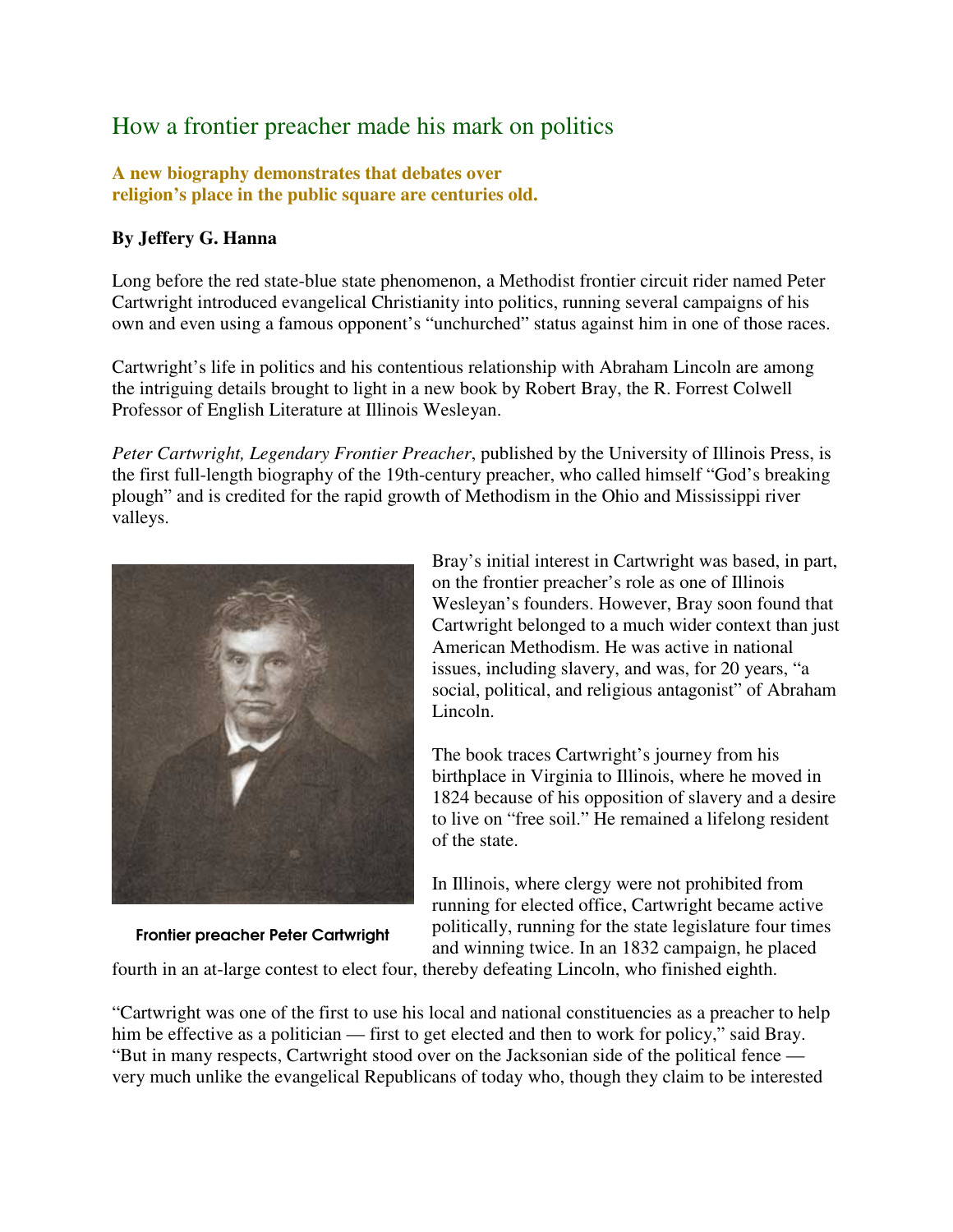### How a frontier preacher made his mark on politics

**A new biography demonstrates that debates over religion's place in the public square are centuries old.** 

### **By Jeffery G. Hanna**

Long before the red state-blue state phenomenon, a Methodist frontier circuit rider named Peter Cartwright introduced evangelical Christianity into politics, running several campaigns of his own and even using a famous opponent's "unchurched" status against him in one of those races.

Cartwright's life in politics and his contentious relationship with Abraham Lincoln are among the intriguing details brought to light in a new book by Robert Bray, the R. Forrest Colwell Professor of English Literature at Illinois Wesleyan.

*Peter Cartwright, Legendary Frontier Preacher*, published by the University of Illinois Press, is the first full-length biography of the 19th-century preacher, who called himself "God's breaking plough" and is credited for the rapid growth of Methodism in the Ohio and Mississippi river valleys.



Frontier preacher Peter Cartwright

Bray's initial interest in Cartwright was based, in part, on the frontier preacher's role as one of Illinois Wesleyan's founders. However, Bray soon found that Cartwright belonged to a much wider context than just American Methodism. He was active in national issues, including slavery, and was, for 20 years, "a social, political, and religious antagonist" of Abraham Lincoln.

The book traces Cartwright's journey from his birthplace in Virginia to Illinois, where he moved in 1824 because of his opposition of slavery and a desire to live on "free soil." He remained a lifelong resident of the state.

In Illinois, where clergy were not prohibited from running for elected office, Cartwright became active politically, running for the state legislature four times and winning twice. In an 1832 campaign, he placed

fourth in an at-large contest to elect four, thereby defeating Lincoln, who finished eighth.

"Cartwright was one of the first to use his local and national constituencies as a preacher to help him be effective as a politician — first to get elected and then to work for policy," said Bray. "But in many respects, Cartwright stood over on the Jacksonian side of the political fence very much unlike the evangelical Republicans of today who, though they claim to be interested